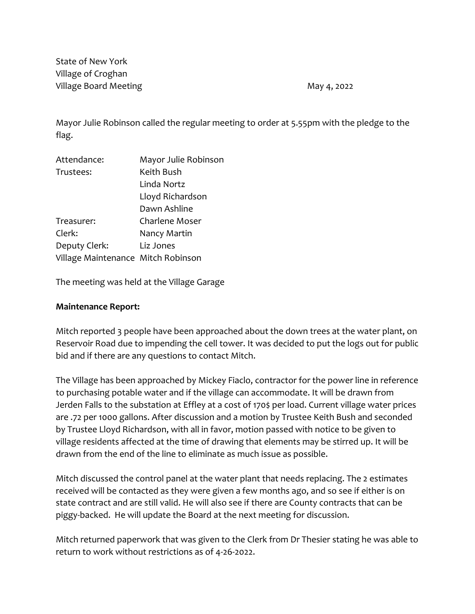State of New York Village of Croghan Village Board Meeting May 4, 2022

Mayor Julie Robinson called the regular meeting to order at 5.55pm with the pledge to the flag.

| Attendance:                        | Mayor Julie Robinson |  |
|------------------------------------|----------------------|--|
| Trustees:                          | Keith Bush           |  |
|                                    | Linda Nortz          |  |
|                                    | Lloyd Richardson     |  |
|                                    | Dawn Ashline         |  |
| Treasurer:                         | Charlene Moser       |  |
| Clerk:                             | Nancy Martin         |  |
| Deputy Clerk:                      | Liz Jones            |  |
| Village Maintenance Mitch Robinson |                      |  |
|                                    |                      |  |

The meeting was held at the Village Garage

### **Maintenance Report:**

Mitch reported 3 people have been approached about the down trees at the water plant, on Reservoir Road due to impending the cell tower. It was decided to put the logs out for public bid and if there are any questions to contact Mitch.

The Village has been approached by Mickey Fiaclo, contractor for the power line in reference to purchasing potable water and if the village can accommodate. It will be drawn from Jerden Falls to the substation at Effley at a cost of 170\$ per load. Current village water prices are .72 per 1000 gallons. After discussion and a motion by Trustee Keith Bush and seconded by Trustee Lloyd Richardson, with all in favor, motion passed with notice to be given to village residents affected at the time of drawing that elements may be stirred up. It will be drawn from the end of the line to eliminate as much issue as possible.

Mitch discussed the control panel at the water plant that needs replacing. The 2 estimates received will be contacted as they were given a few months ago, and so see if either is on state contract and are still valid. He will also see if there are County contracts that can be piggy-backed. He will update the Board at the next meeting for discussion.

Mitch returned paperwork that was given to the Clerk from Dr Thesier stating he was able to return to work without restrictions as of 4-26-2022.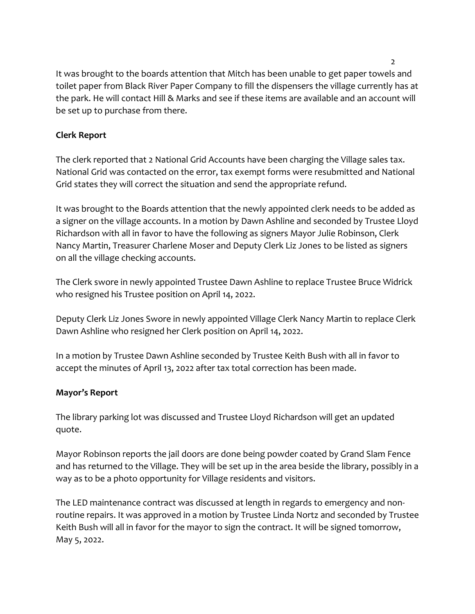It was brought to the boards attention that Mitch has been unable to get paper towels and toilet paper from Black River Paper Company to fill the dispensers the village currently has at the park. He will contact Hill & Marks and see if these items are available and an account will be set up to purchase from there.

# **Clerk Report**

The clerk reported that 2 National Grid Accounts have been charging the Village sales tax. National Grid was contacted on the error, tax exempt forms were resubmitted and National Grid states they will correct the situation and send the appropriate refund.

It was brought to the Boards attention that the newly appointed clerk needs to be added as a signer on the village accounts. In a motion by Dawn Ashline and seconded by Trustee Lloyd Richardson with all in favor to have the following as signers Mayor Julie Robinson, Clerk Nancy Martin, Treasurer Charlene Moser and Deputy Clerk Liz Jones to be listed as signers on all the village checking accounts.

The Clerk swore in newly appointed Trustee Dawn Ashline to replace Trustee Bruce Widrick who resigned his Trustee position on April 14, 2022.

Deputy Clerk Liz Jones Swore in newly appointed Village Clerk Nancy Martin to replace Clerk Dawn Ashline who resigned her Clerk position on April 14, 2022.

In a motion by Trustee Dawn Ashline seconded by Trustee Keith Bush with all in favor to accept the minutes of April 13, 2022 after tax total correction has been made.

## **Mayor's Report**

The library parking lot was discussed and Trustee Lloyd Richardson will get an updated quote.

Mayor Robinson reports the jail doors are done being powder coated by Grand Slam Fence and has returned to the Village. They will be set up in the area beside the library, possibly in a way as to be a photo opportunity for Village residents and visitors.

The LED maintenance contract was discussed at length in regards to emergency and nonroutine repairs. It was approved in a motion by Trustee Linda Nortz and seconded by Trustee Keith Bush will all in favor for the mayor to sign the contract. It will be signed tomorrow, May 5, 2022.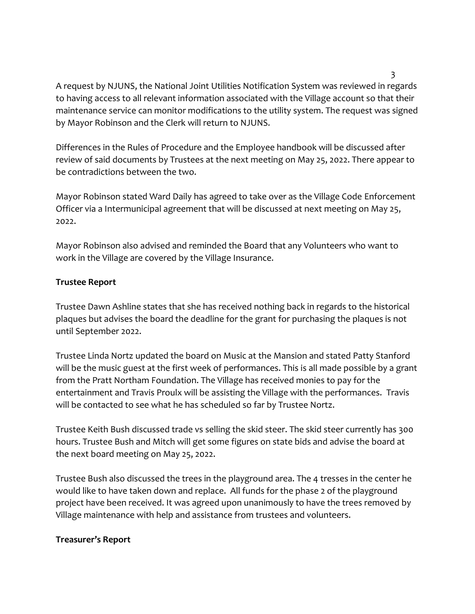A request by NJUNS, the National Joint Utilities Notification System was reviewed in regards to having access to all relevant information associated with the Village account so that their maintenance service can monitor modifications to the utility system. The request was signed by Mayor Robinson and the Clerk will return to NJUNS.

Differences in the Rules of Procedure and the Employee handbook will be discussed after review of said documents by Trustees at the next meeting on May 25, 2022. There appear to be contradictions between the two.

Mayor Robinson stated Ward Daily has agreed to take over as the Village Code Enforcement Officer via a Intermunicipal agreement that will be discussed at next meeting on May 25, 2022.

Mayor Robinson also advised and reminded the Board that any Volunteers who want to work in the Village are covered by the Village Insurance.

## **Trustee Report**

Trustee Dawn Ashline states that she has received nothing back in regards to the historical plaques but advises the board the deadline for the grant for purchasing the plaques is not until September 2022.

Trustee Linda Nortz updated the board on Music at the Mansion and stated Patty Stanford will be the music guest at the first week of performances. This is all made possible by a grant from the Pratt Northam Foundation. The Village has received monies to pay for the entertainment and Travis Proulx will be assisting the Village with the performances. Travis will be contacted to see what he has scheduled so far by Trustee Nortz.

Trustee Keith Bush discussed trade vs selling the skid steer. The skid steer currently has 300 hours. Trustee Bush and Mitch will get some figures on state bids and advise the board at the next board meeting on May 25, 2022.

Trustee Bush also discussed the trees in the playground area. The 4 tresses in the center he would like to have taken down and replace. All funds for the phase 2 of the playground project have been received. It was agreed upon unanimously to have the trees removed by Village maintenance with help and assistance from trustees and volunteers.

## **Treasurer's Report**